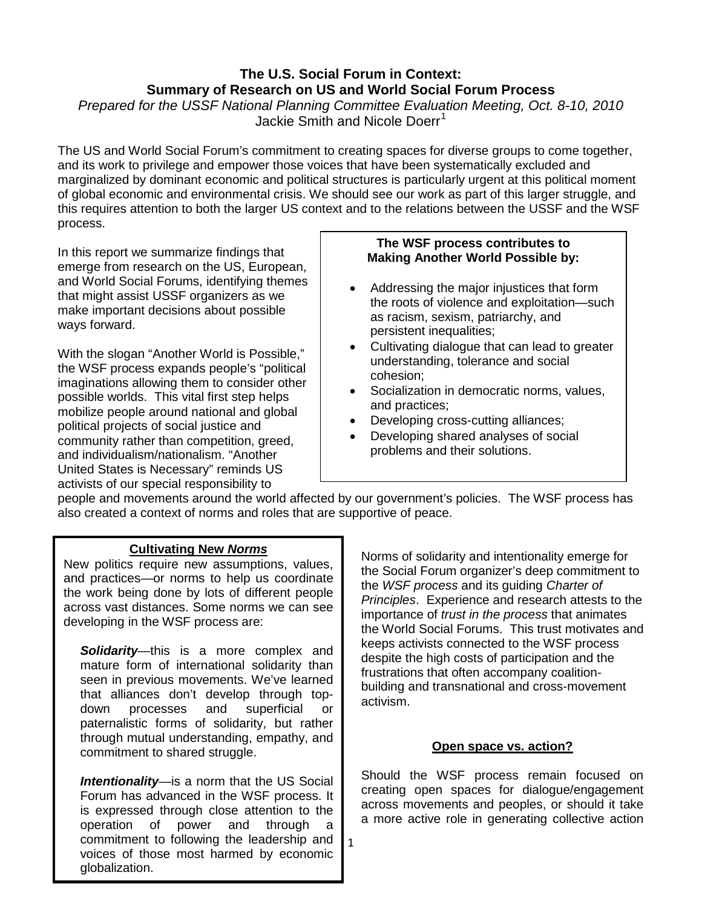# **The U.S. Social Forum in Context: Summary of Research on US and World Social Forum Process** *Prepared for the USSF National Planning Committee Evaluation Meeting, Oct. 8-10, 2010*

Jackie Smith and Nicole Doerr<sup>[1](#page-2-0)</sup>

The US and World Social Forum's commitment to creating spaces for diverse groups to come together, and its work to privilege and empower those voices that have been systematically excluded and marginalized by dominant economic and political structures is particularly urgent at this political moment of global economic and environmental crisis. We should see our work as part of this larger struggle, and this requires attention to both the larger US context and to the relations between the USSF and the WSF process.

In this report we summarize findings that emerge from research on the US, European, and World Social Forums, identifying themes that might assist USSF organizers as we make important decisions about possible ways forward.

With the slogan "Another World is Possible," the WSF process expands people's "political imaginations allowing them to consider other possible worlds. This vital first step helps mobilize people around national and global political projects of social justice and community rather than competition, greed, and individualism/nationalism. "Another United States is Necessary" reminds US activists of our special responsibility to

#### **The WSF process contributes to Making Another World Possible by:**

- Addressing the major injustices that form the roots of violence and exploitation—such as racism, sexism, patriarchy, and persistent inequalities;
- Cultivating dialogue that can lead to greater understanding, tolerance and social cohesion;
- Socialization in democratic norms, values, and practices;
- Developing cross-cutting alliances;
- Developing shared analyses of social problems and their solutions.

people and movements around the world affected by our government's policies. The WSF process has also created a context of norms and roles that are supportive of peace.

1

## **Cultivating New** *Norms*

New politics require new assumptions, values, and practices—or norms to help us coordinate the work being done by lots of different people across vast distances. Some norms we can see developing in the WSF process are:

*Solidarity*—this is a more complex and mature form of international solidarity than seen in previous movements. We've learned that alliances don't develop through topdown processes and superficial or paternalistic forms of solidarity, but rather through mutual understanding, empathy, and commitment to shared struggle.

*Intentionality*—is a norm that the US Social Forum has advanced in the WSF process. It is expressed through close attention to the operation of power and through a power and through a commitment to following the leadership and voices of those most harmed by economic globalization.

Norms of solidarity and intentionality emerge for the Social Forum organizer's deep commitment to the *WSF process* and its guiding *Charter of Principles*. Experience and research attests to the importance of *trust in the process* that animates the World Social Forums. This trust motivates and keeps activists connected to the WSF process despite the high costs of participation and the frustrations that often accompany coalitionbuilding and transnational and cross-movement activism.

### **Open space vs. action?**

Should the WSF process remain focused on creating open spaces for dialogue/engagement across movements and peoples, or should it take a more active role in generating collective action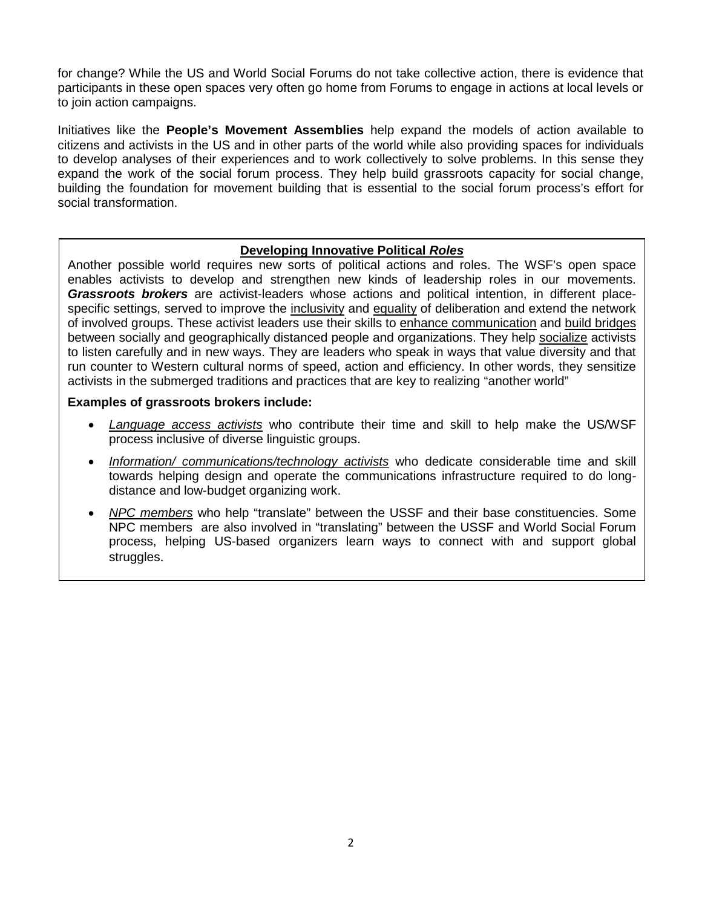for change? While the US and World Social Forums do not take collective action, there is evidence that participants in these open spaces very often go home from Forums to engage in actions at local levels or to join action campaigns.

Initiatives like the **People's Movement Assemblies** help expand the models of action available to citizens and activists in the US and in other parts of the world while also providing spaces for individuals to develop analyses of their experiences and to work collectively to solve problems. In this sense they expand the work of the social forum process. They help build grassroots capacity for social change, building the foundation for movement building that is essential to the social forum process's effort for social transformation.

### **Developing Innovative Political** *Roles*

Another possible world requires new sorts of political actions and roles. The WSF's open space enables activists to develop and strengthen new kinds of leadership roles in our movements. *Grassroots brokers* are activist-leaders whose actions and political intention, in different placespecific settings, served to improve the inclusivity and equality of deliberation and extend the network of involved groups. These activist leaders use their skills to enhance communication and build bridges between socially and geographically distanced people and organizations. They help socialize activists to listen carefully and in new ways. They are leaders who speak in ways that value diversity and that run counter to Western cultural norms of speed, action and efficiency. In other words, they sensitize activists in the submerged traditions and practices that are key to realizing "another world"

#### **Examples of grassroots brokers include:**

- *Language access activists* who contribute their time and skill to help make the US/WSF process inclusive of diverse linguistic groups.
- *Information/ communications/technology activists* who dedicate considerable time and skill towards helping design and operate the communications infrastructure required to do longdistance and low-budget organizing work.
- *NPC members* who help "translate" between the USSF and their base constituencies. Some NPC members are also involved in "translating" between the USSF and World Social Forum process, helping US-based organizers learn ways to connect with and support global struggles.